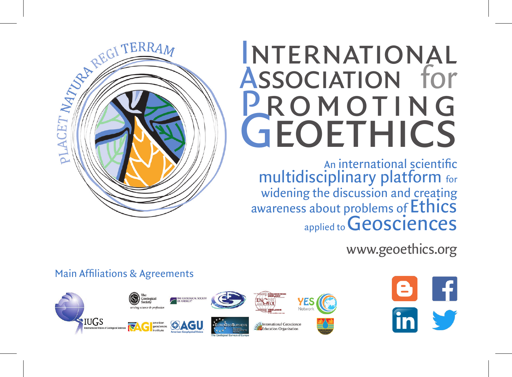# International ASSOCIATION for<br>**PROMOTING** GEOETHICS

An international scientific multidisciplinary platform for widening the discussion and creating awareness about problems of Ethics applied to **Geosciences** 



www.geoethics.org

-fl